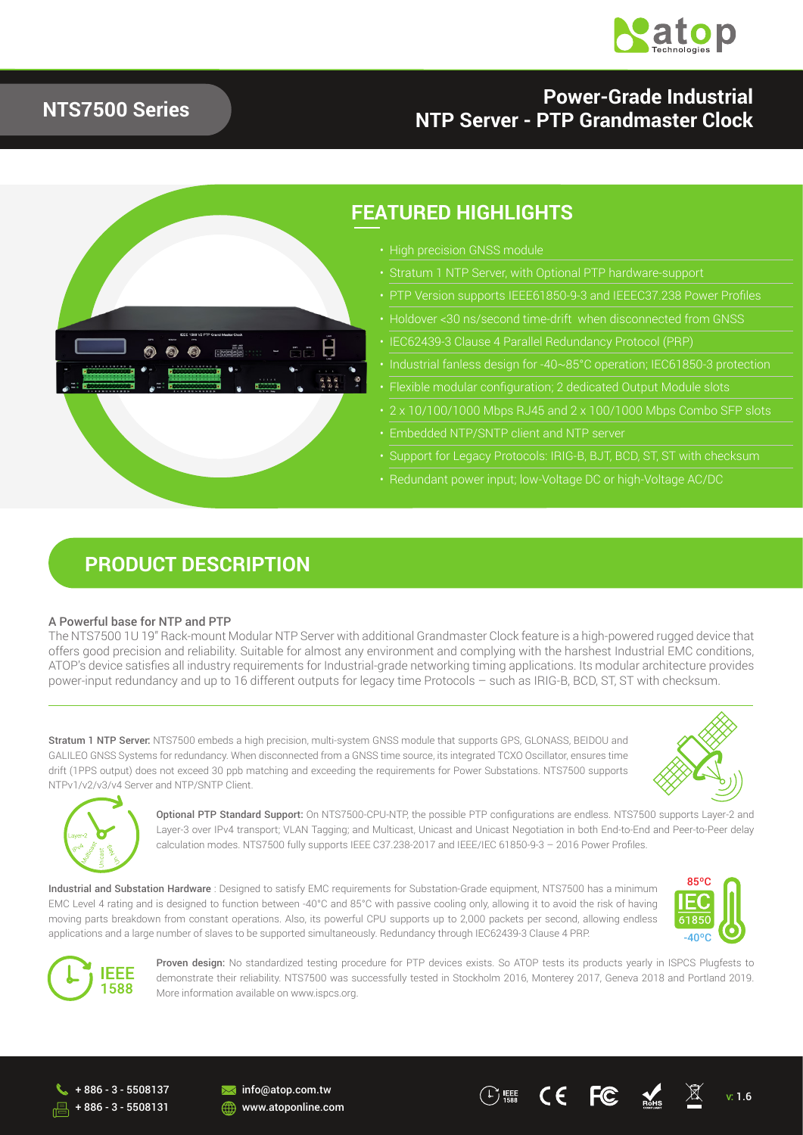

## **NTS7500 Series**

## **Power-Grade Industrial NTP Server - PTP Grandmaster Clock**



## **FEATURED HIGHLIGHTS**

- 
- 
- PTP Version supports IEEE61850-9-3 and IEEEC37.238 Power Profiles
- Holdover <30 ns/second time-drift when disconnected from GNSS
- 
- 
- 
- 2 x 10/100/1000 Mbps RJ45 and 2 x 100/1000 Mbps Combo SFP slots
- 
- Support for Legacy Protocols: IRIG-B, BJT, BCD, ST, ST with checksum
- 

## **PRODUCT DESCRIPTION**

#### A Powerful base for NTP and PTP

The NTS7500 1U 19'' Rack-mount Modular NTP Server with additional Grandmaster Clock feature is a high-powered rugged device that offers good precision and reliability. Suitable for almost any environment and complying with the harshest Industrial EMC conditions, ATOP's device satisfies all industry requirements for Industrial-grade networking timing applications. Its modular architecture provides power-input redundancy and up to 16 different outputs for legacy time Protocols – such as IRIG-B, BCD, ST, ST with checksum.

Stratum 1 NTP Server: NTS7500 embeds a high precision, multi-system GNSS module that supports GPS, GLONASS, BEIDOU and GALILEO GNSS Systems for redundancy. When disconnected from a GNSS time source, its integrated TCXO Oscillator, ensures time drift (1PPS output) does not exceed 30 ppb matching and exceeding the requirements for Power Substations. NTS7500 supports NTPv1/v2/v3/v4 Server and NTP/SNTP Client.





Optional PTP Standard Support: On NTS7500-CPU-NTP, the possible PTP configurations are endless. NTS7500 supports Layer-2 and Layer-3 over IPv4 transport; VLAN Tagging; and Multicast, Unicast and Unicast Negotiation in both End-to-End and Peer-to-Peer delay calculation modes. NTS7500 fully supports IEEE C37.238-2017 and IEEE/IEC 61850-9-3 – 2016 Power Profiles.

Industrial and Substation Hardware : Designed to satisfy EMC requirements for Substation-Grade equipment, NTS7500 has a minimum EMC Level 4 rating and is designed to function between -40°C and 85°C with passive cooling only, allowing it to avoid the risk of having moving parts breakdown from constant operations. Also, its powerful CPU supports up to 2,000 packets per second, allowing endless applications and a large number of slaves to be supported simultaneously. Redundancy through IEC62439-3 Clause 4 PRP.





Proven design: No standardized testing procedure for PTP devices exists. So ATOP tests its products yearly in ISPCS Plugfests to demonstrate their reliability. NTS7500 was successfully tested in Stockholm 2016, Monterey 2017, Geneva 2018 and Portland 2019. More information available on www.ispcs.org.

+ 886 - 3 - 5508131

**M** info@atop.com.tw **WWW.atoponline.com** 

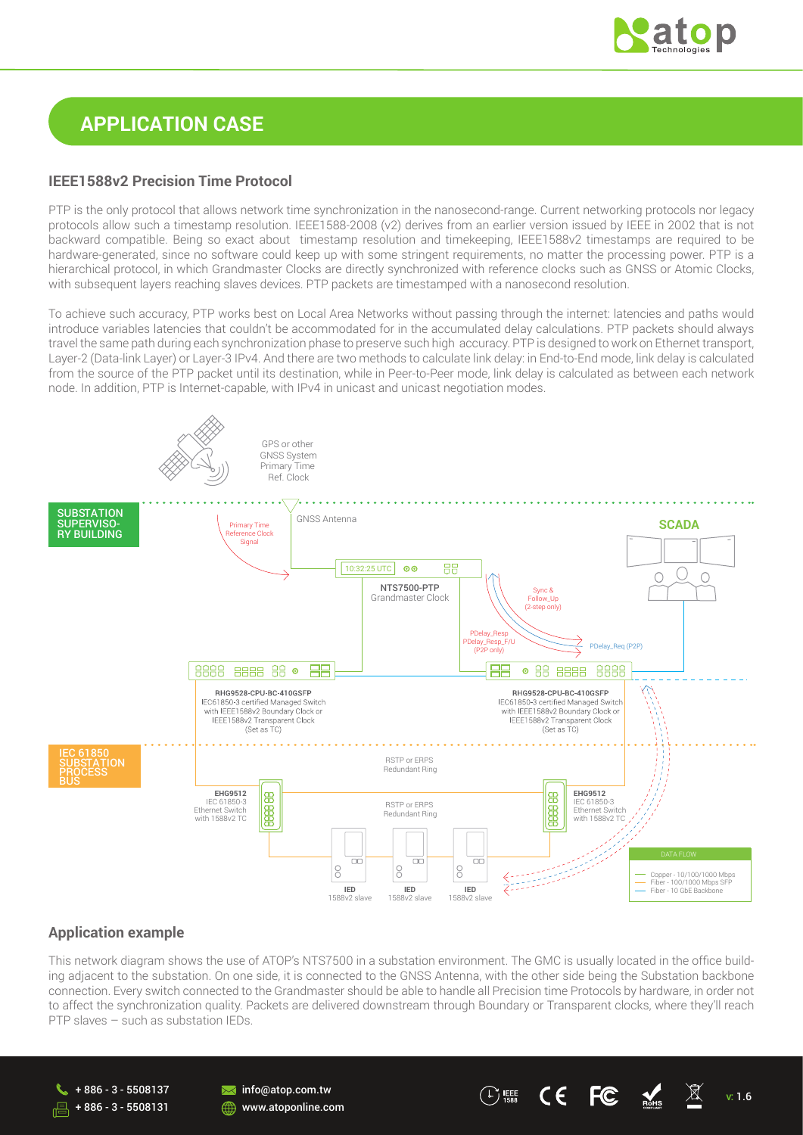

## **APPLICATION CASE**

#### **IEEE1588v2 Precision Time Protocol**

PTP is the only protocol that allows network time synchronization in the nanosecond-range. Current networking protocols nor legacy protocols allow such a timestamp resolution. IEEE1588-2008 (v2) derives from an earlier version issued by IEEE in 2002 that is not backward compatible. Being so exact about timestamp resolution and timekeeping, IEEE1588v2 timestamps are required to be hardware-generated, since no software could keep up with some stringent requirements, no matter the processing power. PTP is a hierarchical protocol, in which Grandmaster Clocks are directly synchronized with reference clocks such as GNSS or Atomic Clocks, with subsequent layers reaching slaves devices. PTP packets are timestamped with a nanosecond resolution.

To achieve such accuracy, PTP works best on Local Area Networks without passing through the internet: latencies and paths would introduce variables latencies that couldn't be accommodated for in the accumulated delay calculations. PTP packets should always travel the same path during each synchronization phase to preserve such high accuracy. PTP is designed to work on Ethernet transport, Layer-2 (Data-link Layer) or Layer-3 IPv4. And there are two methods to calculate link delay: in End-to-End mode, link delay is calculated from the source of the PTP packet until its destination, while in Peer-to-Peer mode, link delay is calculated as between each network node. In addition, PTP is Internet-capable, with IPv4 in unicast and unicast negotiation modes.



#### **Application example**

This network diagram shows the use of ATOP's NTS7500 in a substation environment. The GMC is usually located in the office building adjacent to the substation. On one side, it is connected to the GNSS Antenna, with the other side being the Substation backbone connection. Every switch connected to the Grandmaster should be able to handle all Precision time Protocols by hardware, in order not to affect the synchronization quality. Packets are delivered downstream through Boundary or Transparent clocks, where they'll reach PTP slaves – such as substation IEDs.



info@atop.com.tw **WWW.atoponline.com**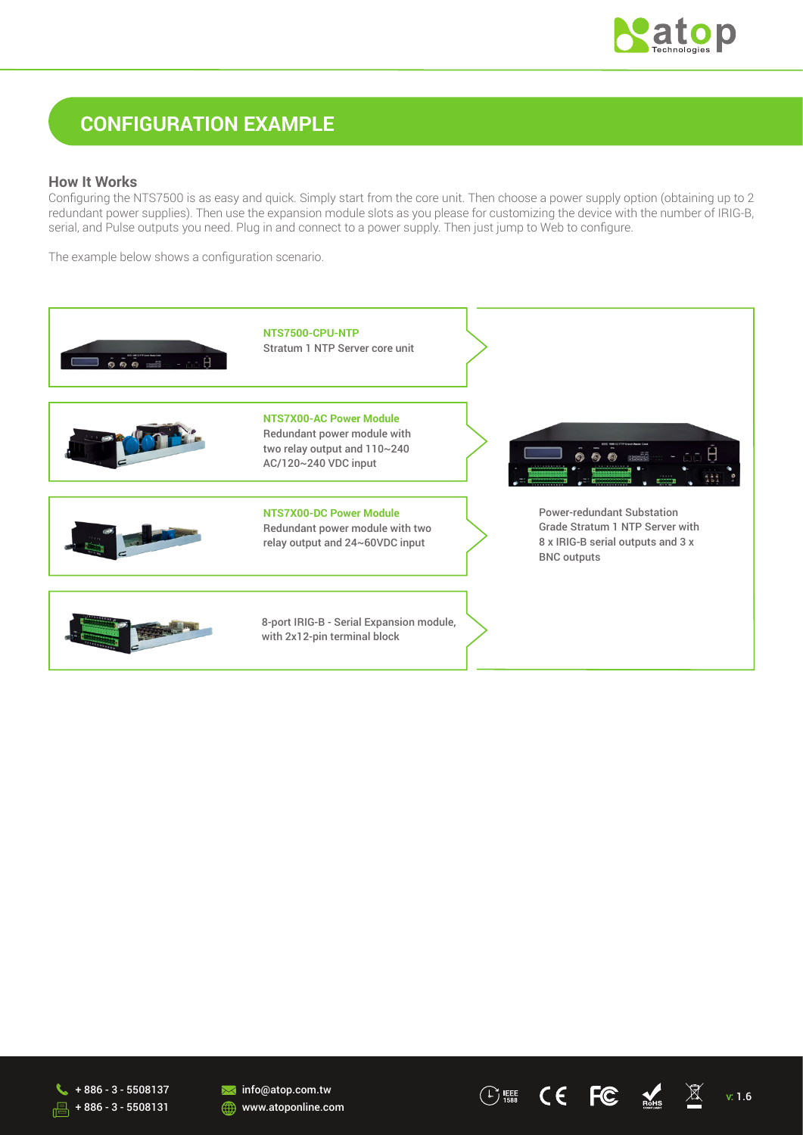

## **CONFIGURATION EXAMPLE**

#### **How It Works**

Configuring the NTS7500 is as easy and quick. Simply start from the core unit. Then choose a power supply option (obtaining up to 2 redundant power supplies). Then use the expansion module slots as you please for customizing the device with the number of IRIG-B, serial, and Pulse outputs you need. Plug in and connect to a power supply. Then just jump to Web to configure.

The example below shows a configuration scenario.





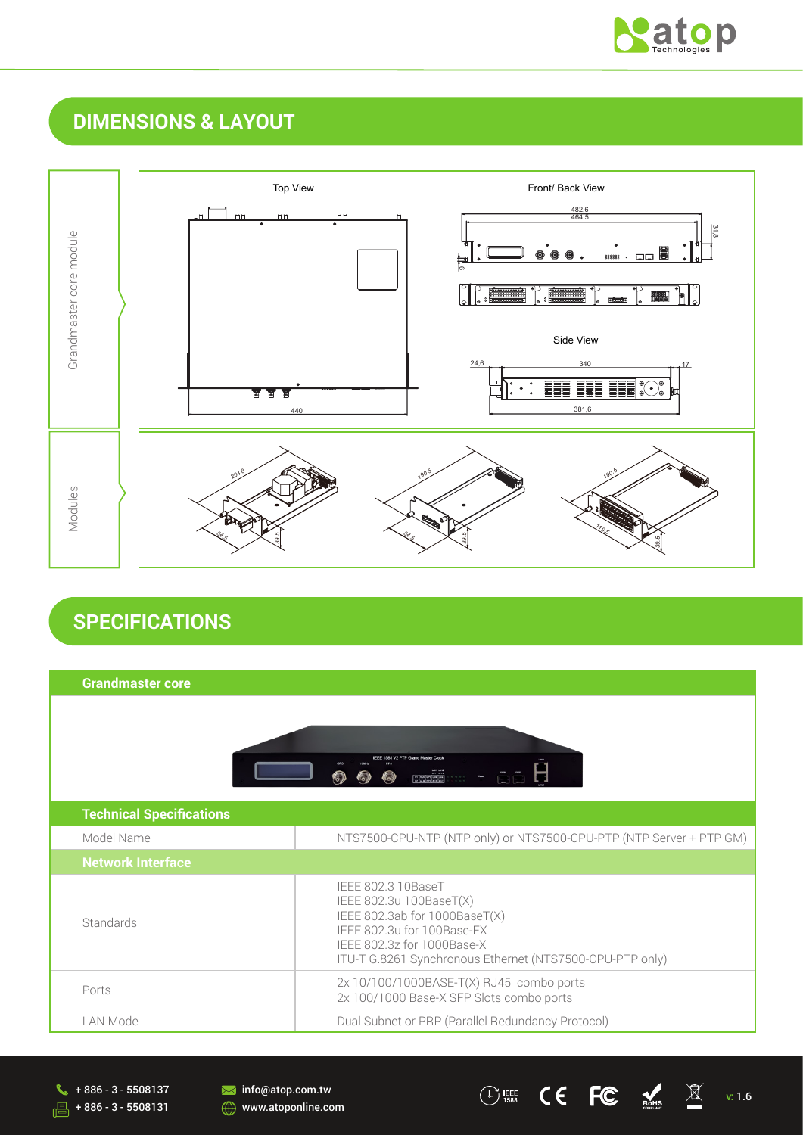

# **DIMENSIONS & LAYOUT**



# **SPECIFICATIONS**

| <b>Grandmaster core</b>         |                                                                                                                                                                                                        |
|---------------------------------|--------------------------------------------------------------------------------------------------------------------------------------------------------------------------------------------------------|
|                                 |                                                                                                                                                                                                        |
| <b>Technical Specifications</b> |                                                                                                                                                                                                        |
| Model Name                      | NTS7500-CPU-NTP (NTP only) or NTS7500-CPU-PTP (NTP Server + PTP GM)                                                                                                                                    |
| <b>Network Interface</b>        |                                                                                                                                                                                                        |
| Standards                       | IEEE 802.3 10BaseT<br>IEEE 802.3u 100BaseT(X)<br>IEEE 802.3ab for 1000BaseT(X)<br>IEEE 802.3u for 100Base-FX<br>IEEE 802.3z for 1000Base-X<br>ITU-T G.8261 Synchronous Ethernet (NTS7500-CPU-PTP only) |
| Ports                           | 2x 10/100/1000BASE-T(X) RJ45 combo ports<br>2x 100/1000 Base-X SFP Slots combo ports                                                                                                                   |
| LAN Mode                        | Dual Subnet or PRP (Parallel Redundancy Protocol)                                                                                                                                                      |

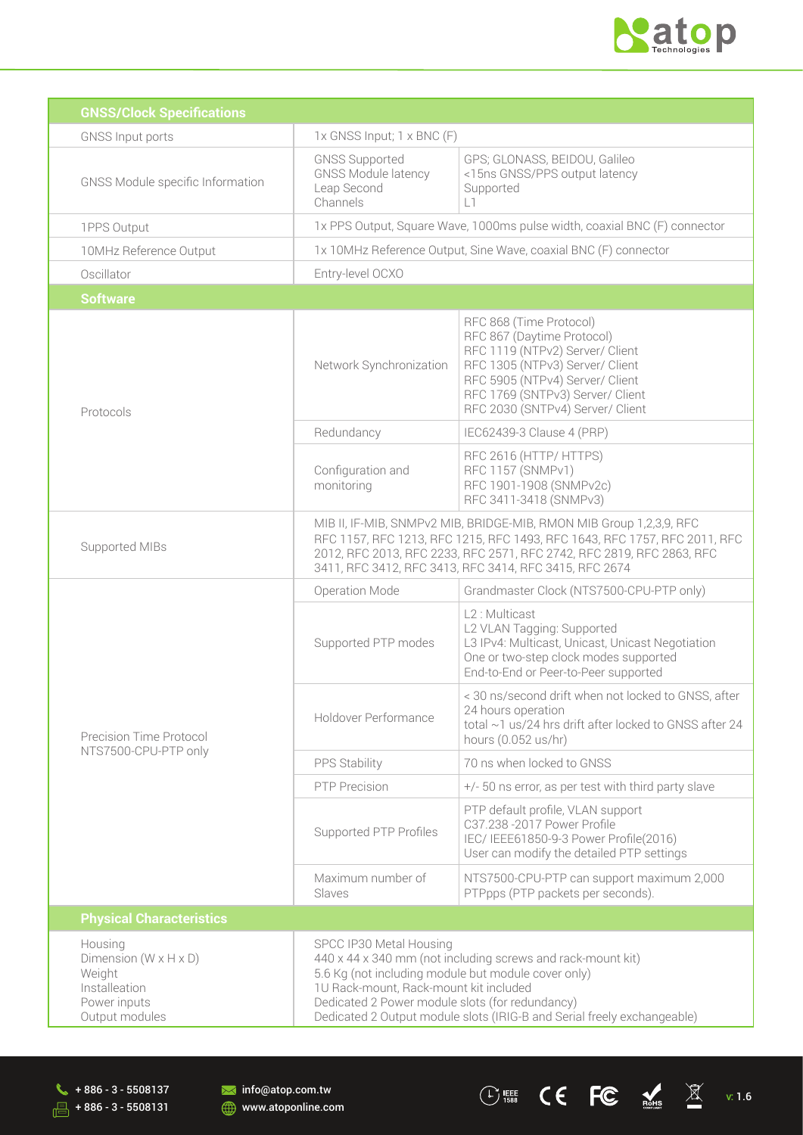

| <b>GNSS/Clock Specifications</b>                                                                            |                                                                                                                                                                                                                                                                                                                       |                                                                                                                                                                                                                                        |  |
|-------------------------------------------------------------------------------------------------------------|-----------------------------------------------------------------------------------------------------------------------------------------------------------------------------------------------------------------------------------------------------------------------------------------------------------------------|----------------------------------------------------------------------------------------------------------------------------------------------------------------------------------------------------------------------------------------|--|
| <b>GNSS Input ports</b>                                                                                     | 1x GNSS Input; 1 x BNC (F)                                                                                                                                                                                                                                                                                            |                                                                                                                                                                                                                                        |  |
| GNSS Module specific Information                                                                            | <b>GNSS Supported</b><br><b>GNSS Module latency</b><br>Leap Second<br>Channels                                                                                                                                                                                                                                        | GPS; GLONASS, BEIDOU, Galileo<br><15ns GNSS/PPS output latency<br>Supported<br>L1.                                                                                                                                                     |  |
| 1PPS Output                                                                                                 |                                                                                                                                                                                                                                                                                                                       | 1x PPS Output, Square Wave, 1000ms pulse width, coaxial BNC (F) connector                                                                                                                                                              |  |
| 10MHz Reference Output                                                                                      |                                                                                                                                                                                                                                                                                                                       | 1x 10MHz Reference Output, Sine Wave, coaxial BNC (F) connector                                                                                                                                                                        |  |
| Oscillator                                                                                                  | Entry-level OCXO                                                                                                                                                                                                                                                                                                      |                                                                                                                                                                                                                                        |  |
| <b>Software</b>                                                                                             |                                                                                                                                                                                                                                                                                                                       |                                                                                                                                                                                                                                        |  |
| Protocols                                                                                                   | Network Synchronization                                                                                                                                                                                                                                                                                               | RFC 868 (Time Protocol)<br>RFC 867 (Daytime Protocol)<br>RFC 1119 (NTPv2) Server/ Client<br>RFC 1305 (NTPv3) Server/ Client<br>RFC 5905 (NTPv4) Server/ Client<br>RFC 1769 (SNTPv3) Server/ Client<br>RFC 2030 (SNTPv4) Server/ Client |  |
|                                                                                                             | Redundancy                                                                                                                                                                                                                                                                                                            | IEC62439-3 Clause 4 (PRP)                                                                                                                                                                                                              |  |
|                                                                                                             | Configuration and<br>monitoring                                                                                                                                                                                                                                                                                       | RFC 2616 (HTTP/ HTTPS)<br>RFC 1157 (SNMPv1)<br>RFC 1901-1908 (SNMPv2c)<br>RFC 3411-3418 (SNMPv3)                                                                                                                                       |  |
| Supported MIBs                                                                                              | MIB II, IF-MIB, SNMPv2 MIB, BRIDGE-MIB, RMON MIB Group 1,2,3,9, RFC<br>RFC 1157, RFC 1213, RFC 1215, RFC 1493, RFC 1643, RFC 1757, RFC 2011, RFC<br>2012, RFC 2013, RFC 2233, RFC 2571, RFC 2742, RFC 2819, RFC 2863, RFC<br>3411, RFC 3412, RFC 3413, RFC 3414, RFC 3415, RFC 2674                                   |                                                                                                                                                                                                                                        |  |
|                                                                                                             | Operation Mode                                                                                                                                                                                                                                                                                                        | Grandmaster Clock (NTS7500-CPU-PTP only)                                                                                                                                                                                               |  |
| Precision Time Protocol                                                                                     | Supported PTP modes                                                                                                                                                                                                                                                                                                   | L2: Multicast<br>L2 VLAN Tagging: Supported<br>L3 IPv4: Multicast, Unicast, Unicast Negotiation<br>One or two-step clock modes supported<br>End-to-End or Peer-to-Peer supported                                                       |  |
|                                                                                                             | Holdover Performance                                                                                                                                                                                                                                                                                                  | < 30 ns/second drift when not locked to GNSS, after<br>24 hours operation<br>total ~1 us/24 hrs drift after locked to GNSS after 24<br>hours (0.052 us/hr)                                                                             |  |
| NTS7500-CPU-PTP only                                                                                        | PPS Stability                                                                                                                                                                                                                                                                                                         | 70 ns when locked to GNSS                                                                                                                                                                                                              |  |
|                                                                                                             | PTP Precision                                                                                                                                                                                                                                                                                                         | +/- 50 ns error, as per test with third party slave                                                                                                                                                                                    |  |
|                                                                                                             | Supported PTP Profiles                                                                                                                                                                                                                                                                                                | PTP default profile, VLAN support<br>C37.238 -2017 Power Profile<br>IEC/ IEEE61850-9-3 Power Profile(2016)<br>User can modify the detailed PTP settings                                                                                |  |
|                                                                                                             | Maximum number of<br>Slaves                                                                                                                                                                                                                                                                                           | NTS7500-CPU-PTP can support maximum 2,000<br>PTPpps (PTP packets per seconds).                                                                                                                                                         |  |
| <b>Physical Characteristics</b>                                                                             |                                                                                                                                                                                                                                                                                                                       |                                                                                                                                                                                                                                        |  |
| Housing<br>Dimension ( $W \times H \times D$ )<br>Weight<br>Installeation<br>Power inputs<br>Output modules | SPCC IP30 Metal Housing<br>440 x 44 x 340 mm (not including screws and rack-mount kit)<br>5.6 Kg (not including module but module cover only)<br>1U Rack-mount, Rack-mount kit included<br>Dedicated 2 Power module slots (for redundancy)<br>Dedicated 2 Output module slots (IRIG-B and Serial freely exchangeable) |                                                                                                                                                                                                                                        |  |

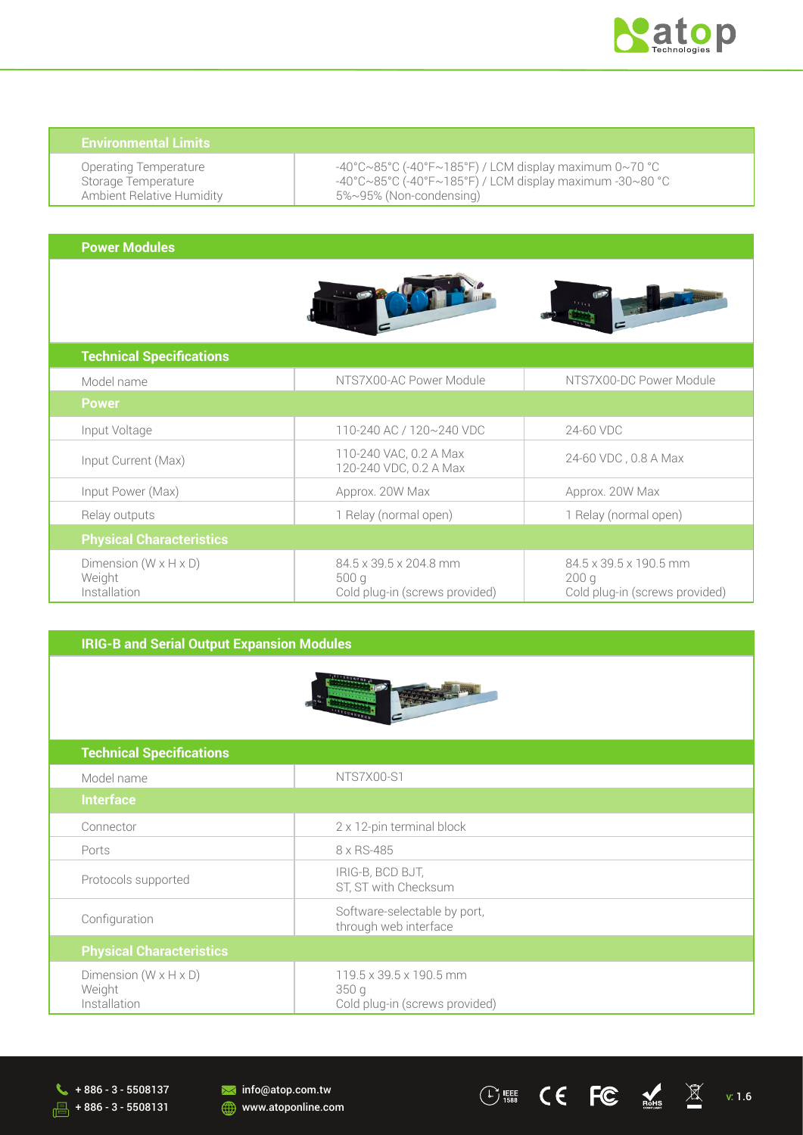

Operating Temperature Storage Temperature Ambient Relative Humidity -40°C~85°C (-40°F~185°F) / LCM display maximum 0~70 °C -40°C~85°C (-40°F~185°F) / LCM display maximum -30~80 °C 5%~95% (Non-condensing)

#### **Power Modules**





| <b>Technical Specifications</b>                             |                                                                  |                                                                                          |
|-------------------------------------------------------------|------------------------------------------------------------------|------------------------------------------------------------------------------------------|
| Model name                                                  | NTS7X00-AC Power Module                                          | NTS7X00-DC Power Module                                                                  |
| <b>Power</b>                                                |                                                                  |                                                                                          |
| Input Voltage                                               | 110-240 AC / 120~240 VDC                                         | 24-60 VDC                                                                                |
| Input Current (Max)                                         | 110-240 VAC, 0.2 A Max<br>120-240 VDC, 0.2 A Max                 | 24-60 VDC, 0.8 A Max                                                                     |
| Input Power (Max)                                           | Approx. 20W Max                                                  | Approx. 20W Max                                                                          |
| Relay outputs                                               | 1 Relay (normal open)                                            | 1 Relay (normal open)                                                                    |
| <b>Physical Characteristics</b>                             |                                                                  |                                                                                          |
| Dimension $(W \times H \times D)$<br>Weight<br>Installation | 84.5 x 39.5 x 204.8 mm<br>500q<br>Cold plug-in (screws provided) | $84.5 \times 39.5 \times 190.5$ mm<br>200 <sub>q</sub><br>Cold plug-in (screws provided) |

### **IRIG-B and Serial Output Expansion Modules**



| <b>Technical Specifications</b>                             |                                                                   |
|-------------------------------------------------------------|-------------------------------------------------------------------|
| Model name                                                  | NTS7X00-S1                                                        |
| <b>Interface</b>                                            |                                                                   |
| Connector                                                   | 2 x 12-pin terminal block                                         |
| Ports                                                       | 8 x RS-485                                                        |
| Protocols supported                                         | IRIG-B, BCD BJT,<br>ST, ST with Checksum                          |
| Configuration                                               | Software-selectable by port,<br>through web interface             |
| <b>Physical Characteristics</b>                             |                                                                   |
| Dimension $(W \times H \times D)$<br>Weight<br>Installation | 119.5 x 39.5 x 190.5 mm<br>350q<br>Cold plug-in (screws provided) |

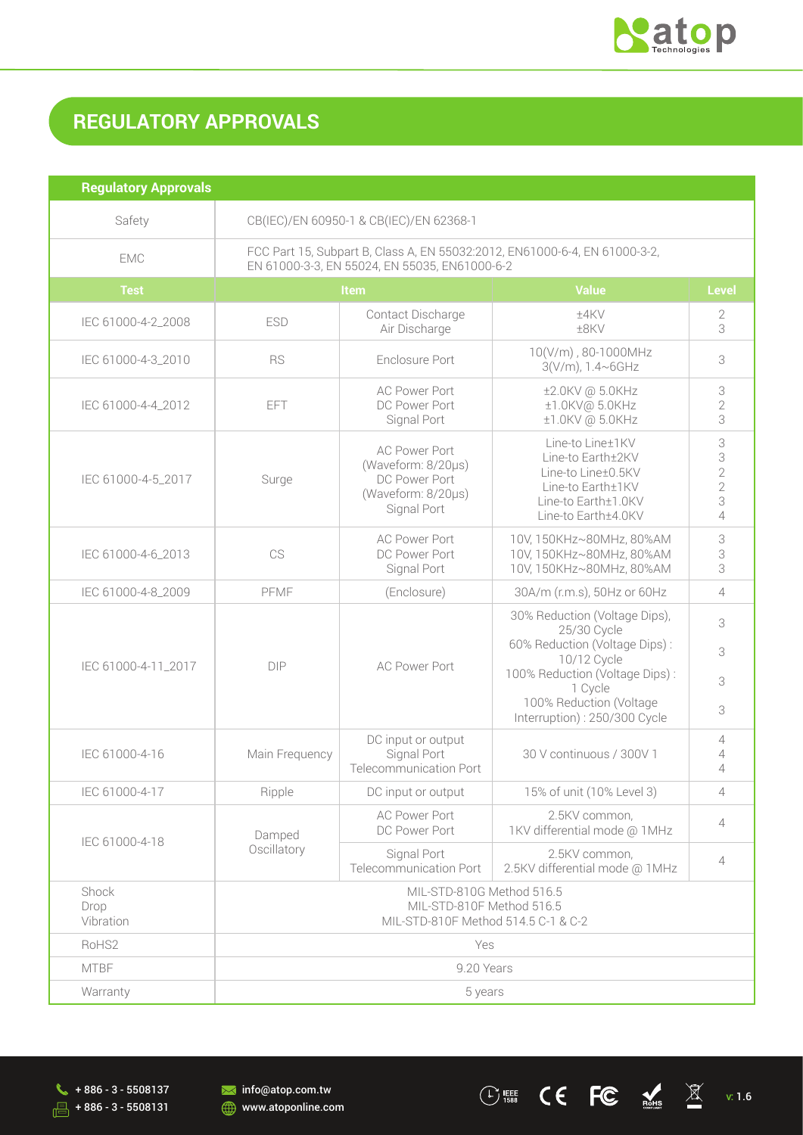

# **REGULATORY APPROVALS**

| <b>Regulatory Approvals</b> |                                                                                                                             |                                                                                                  |                                                                                                                                                                                                      |                                                               |
|-----------------------------|-----------------------------------------------------------------------------------------------------------------------------|--------------------------------------------------------------------------------------------------|------------------------------------------------------------------------------------------------------------------------------------------------------------------------------------------------------|---------------------------------------------------------------|
| Safety                      | CB(IEC)/EN 60950-1 & CB(IEC)/EN 62368-1                                                                                     |                                                                                                  |                                                                                                                                                                                                      |                                                               |
| <b>EMC</b>                  | FCC Part 15, Subpart B, Class A, EN 55032:2012, EN61000-6-4, EN 61000-3-2,<br>EN 61000-3-3, EN 55024, EN 55035, EN61000-6-2 |                                                                                                  |                                                                                                                                                                                                      |                                                               |
| <b>Test</b>                 |                                                                                                                             | Item                                                                                             | <b>Value</b>                                                                                                                                                                                         | <b>Level</b>                                                  |
| IEC 61000-4-2_2008          | <b>ESD</b>                                                                                                                  | Contact Discharge<br>Air Discharge                                                               | $±4$ KV<br>±8KV                                                                                                                                                                                      | 2<br>3                                                        |
| IEC 61000-4-3_2010          | <b>RS</b>                                                                                                                   | Enclosure Port                                                                                   | 10(V/m), 80-1000MHz<br>3(V/m), 1.4~6GHz                                                                                                                                                              | 3                                                             |
| IEC 61000-4-4 2012          | <b>EFT</b>                                                                                                                  | <b>AC Power Port</b><br>DC Power Port<br>Signal Port                                             | ±2.0KV @ 5.0KHz<br>±1.0KV@ 5.0KHz<br>±1.0KV @ 5.0KHz                                                                                                                                                 | 3<br>$\overline{2}$<br>3                                      |
| IEC 61000-4-5 2017          | Surge                                                                                                                       | <b>AC Power Port</b><br>(Waveform: 8/20µs)<br>DC Power Port<br>(Waveform: 8/20µs)<br>Signal Port | Line-to Line±1KV<br>Line-to Earth±2KV<br>Line-to Line±0.5KV<br>Line-to Earth±1KV<br>Line-to Earth±1.0KV<br>Line-to Earth±4.0KV                                                                       | 3<br>3<br>$\sqrt{2}$<br>$\overline{2}$<br>3<br>$\overline{4}$ |
| IEC 61000-4-6_2013          | CS                                                                                                                          | <b>AC Power Port</b><br>DC Power Port<br>Signal Port                                             | 10V, 150KHz~80MHz, 80%AM<br>10V, 150KHz~80MHz, 80%AM<br>10V, 150KHz~80MHz, 80%AM                                                                                                                     | 3<br>3<br>3                                                   |
| IEC 61000-4-8_2009          | PFMF                                                                                                                        | (Enclosure)                                                                                      | 30A/m (r.m.s), 50Hz or 60Hz                                                                                                                                                                          | $\overline{4}$                                                |
| IEC 61000-4-11_2017         | DIP                                                                                                                         | <b>AC Power Port</b>                                                                             | 30% Reduction (Voltage Dips),<br>25/30 Cycle<br>60% Reduction (Voltage Dips):<br>10/12 Cycle<br>100% Reduction (Voltage Dips):<br>1 Cycle<br>100% Reduction (Voltage<br>Interruption): 250/300 Cycle | 3<br>3<br>3<br>3                                              |
| IEC 61000-4-16              | Main Frequency                                                                                                              | DC input or output<br>Signal Port<br><b>Telecommunication Port</b>                               | 30 V continuous / 300V 1                                                                                                                                                                             | $\overline{4}$<br>4<br>$\overline{4}$                         |
| IEC 61000-4-17              | Ripple                                                                                                                      | DC input or output                                                                               | 15% of unit (10% Level 3)                                                                                                                                                                            | 4                                                             |
| IEC 61000-4-18              | Damped                                                                                                                      | <b>AC Power Port</b><br>DC Power Port                                                            | 2.5KV common,<br>1KV differential mode @ 1MHz                                                                                                                                                        | $\overline{4}$                                                |
|                             | Oscillatory                                                                                                                 | Signal Port<br>Telecommunication Port                                                            | 2.5KV common,<br>2.5KV differential mode @ 1MHz                                                                                                                                                      | $\overline{4}$                                                |
| Shock<br>Drop<br>Vibration  | MIL-STD-810G Method 516.5<br>MIL-STD-810F Method 516.5<br>MIL-STD-810F Method 514.5 C-1 & C-2                               |                                                                                                  |                                                                                                                                                                                                      |                                                               |
| RoHS2                       |                                                                                                                             | Yes                                                                                              |                                                                                                                                                                                                      |                                                               |
| <b>MTBF</b>                 |                                                                                                                             | 9.20 Years                                                                                       |                                                                                                                                                                                                      |                                                               |
| Warranty                    | 5 years                                                                                                                     |                                                                                                  |                                                                                                                                                                                                      |                                                               |

 $\frac{1}{\sqrt{5}}$  + 886 - 3 - 5508131

**M** info@atop.com.tw **WWW.atoponline.com**